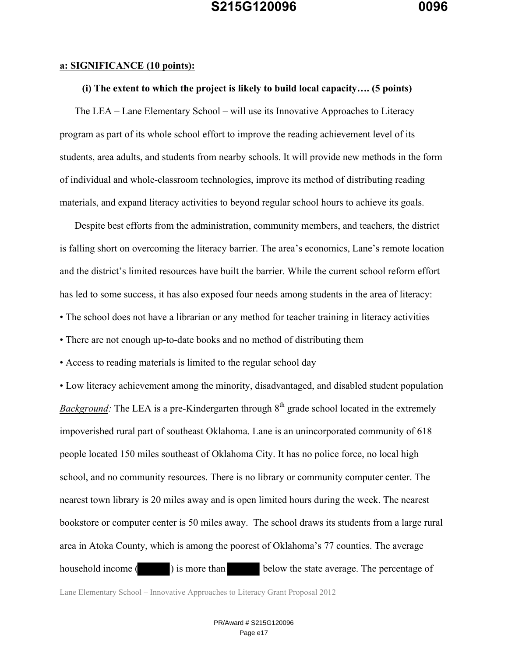#### **a: SIGNIFICANCE (10 points):**

### **(i) The extent to which the project is likely to build local capacity…. (5 points)**

The LEA – Lane Elementary School – will use its Innovative Approaches to Literacy program as part of its whole school effort to improve the reading achievement level of its students, area adults, and students from nearby schools. It will provide new methods in the form of individual and whole-classroom technologies, improve its method of distributing reading materials, and expand literacy activities to beyond regular school hours to achieve its goals.

Despite best efforts from the administration, community members, and teachers, the district is falling short on overcoming the literacy barrier. The area's economics, Lane's remote location and the district's limited resources have built the barrier. While the current school reform effort has led to some success, it has also exposed four needs among students in the area of literacy:

- The school does not have a librarian or any method for teacher training in literacy activities
- There are not enough up-to-date books and no method of distributing them
- Access to reading materials is limited to the regular school day

• Low literacy achievement among the minority, disadvantaged, and disabled student population *Background:* The LEA is a pre-Kindergarten through 8<sup>th</sup> grade school located in the extremely impoverished rural part of southeast Oklahoma. Lane is an unincorporated community of 618 people located 150 miles southeast of Oklahoma City. It has no police force, no local high school, and no community resources. There is no library or community computer center. The nearest town library is 20 miles away and is open limited hours during the week. The nearest bookstore or computer center is 50 miles away. The school draws its students from a large rural area in Atoka County, which is among the poorest of Oklahoma's 77 counties. The average household income () is more than below the state average. The percentage of

Lane Elementary School – Innovative Approaches to Literacy Grant Proposal 2012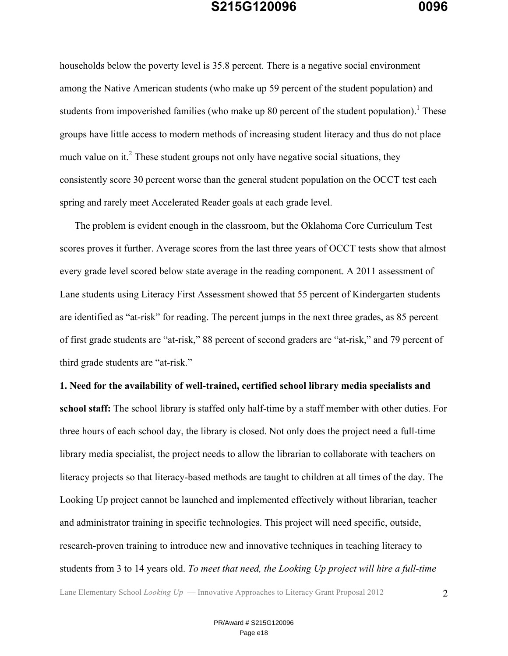households below the poverty level is 35.8 percent. There is a negative social environment among the Native American students (who make up 59 percent of the student population) and students from impoverished families (who make up 80 percent of the student population).<sup>1</sup> These groups have little access to modern methods of increasing student literacy and thus do not place much value on it.<sup>2</sup> These student groups not only have negative social situations, they consistently score 30 percent worse than the general student population on the OCCT test each spring and rarely meet Accelerated Reader goals at each grade level.

The problem is evident enough in the classroom, but the Oklahoma Core Curriculum Test scores proves it further. Average scores from the last three years of OCCT tests show that almost every grade level scored below state average in the reading component. A 2011 assessment of Lane students using Literacy First Assessment showed that 55 percent of Kindergarten students are identified as "at-risk" for reading. The percent jumps in the next three grades, as 85 percent of first grade students are "at-risk," 88 percent of second graders are "at-risk," and 79 percent of third grade students are "at-risk."

**1. Need for the availability of well-trained, certified school library media specialists and school staff:** The school library is staffed only half-time by a staff member with other duties. For three hours of each school day, the library is closed. Not only does the project need a full-time library media specialist, the project needs to allow the librarian to collaborate with teachers on literacy projects so that literacy-based methods are taught to children at all times of the day. The Looking Up project cannot be launched and implemented effectively without librarian, teacher and administrator training in specific technologies. This project will need specific, outside, research-proven training to introduce new and innovative techniques in teaching literacy to students from 3 to 14 years old. *To meet that need, the Looking Up project will hire a full-time*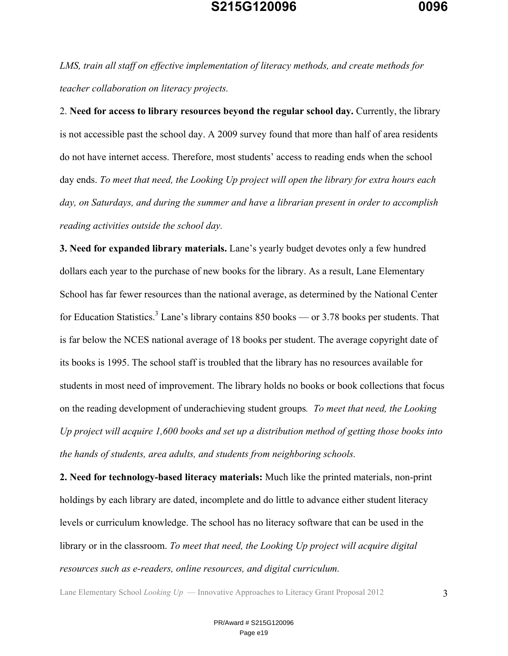*LMS, train all staff on effective implementation of literacy methods, and create methods for teacher collaboration on literacy projects.*

2. **Need for access to library resources beyond the regular school day.** Currently, the library is not accessible past the school day. A 2009 survey found that more than half of area residents do not have internet access. Therefore, most students' access to reading ends when the school day ends. *To meet that need, the Looking Up project will open the library for extra hours each day, on Saturdays, and during the summer and have a librarian present in order to accomplish reading activities outside the school day.*

**3. Need for expanded library materials.** Lane's yearly budget devotes only a few hundred dollars each year to the purchase of new books for the library. As a result, Lane Elementary School has far fewer resources than the national average, as determined by the National Center for Education Statistics.<sup>3</sup> Lane's library contains 850 books — or 3.78 books per students. That is far below the NCES national average of 18 books per student. The average copyright date of its books is 1995. The school staff is troubled that the library has no resources available for students in most need of improvement. The library holds no books or book collections that focus on the reading development of underachieving student groups*. To meet that need, the Looking Up project will acquire 1,600 books and set up a distribution method of getting those books into the hands of students, area adults, and students from neighboring schools.*

**2. Need for technology-based literacy materials:** Much like the printed materials, non-print holdings by each library are dated, incomplete and do little to advance either student literacy levels or curriculum knowledge. The school has no literacy software that can be used in the library or in the classroom. *To meet that need, the Looking Up project will acquire digital resources such as e-readers, online resources, and digital curriculum.*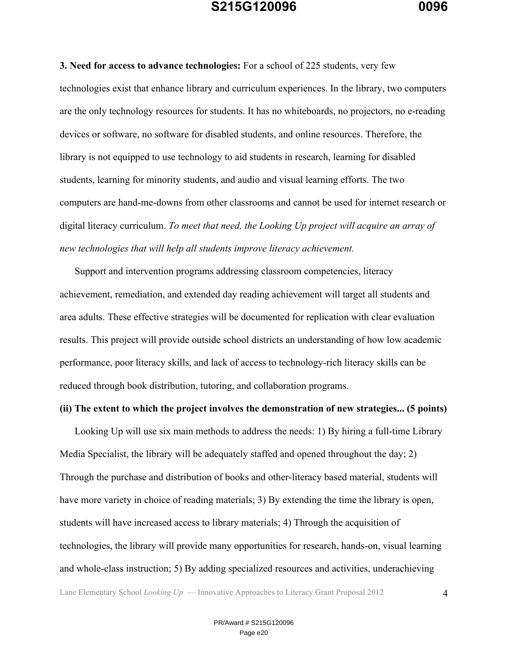**3. Need for access to advance technologies:** For a school of 225 students, very few technologies exist that enhance library and curriculum experiences. In the library, two computers are the only technology resources for students. It has no whiteboards, no projectors, no e-reading devices or software, no software for disabled students, and online resources. Therefore, the library is not equipped to use technology to aid students in research, learning for disabled students, learning for minority students, and audio and visual learning efforts. The two computers are hand-me-downs from other classrooms and cannot be used for internet research or digital literacy curriculum. *To meet that need, the Looking Up project will acquire an array of new technologies that will help all students improve literacy achievement.*

Support and intervention programs addressing classroom competencies, literacy achievement, remediation, and extended day reading achievement will target all students and area adults. These effective strategies will be documented for replication with clear evaluation results. This project will provide outside school districts an understanding of how low academic performance, poor literacy skills, and lack of access to technology-rich literacy skills can be reduced through book distribution, tutoring, and collaboration programs.

#### **(ii) The extent to which the project involves the demonstration of new strategies... (5 points)**

Looking Up will use six main methods to address the needs: 1) By hiring a full-time Library Media Specialist, the library will be adequately staffed and opened throughout the day; 2) Through the purchase and distribution of books and other-literacy based material, students will have more variety in choice of reading materials; 3) By extending the time the library is open, students will have increased access to library materials; 4) Through the acquisition of technologies, the library will provide many opportunities for research, hands-on, visual learning and whole-class instruction; 5) By adding specialized resources and activities, underachieving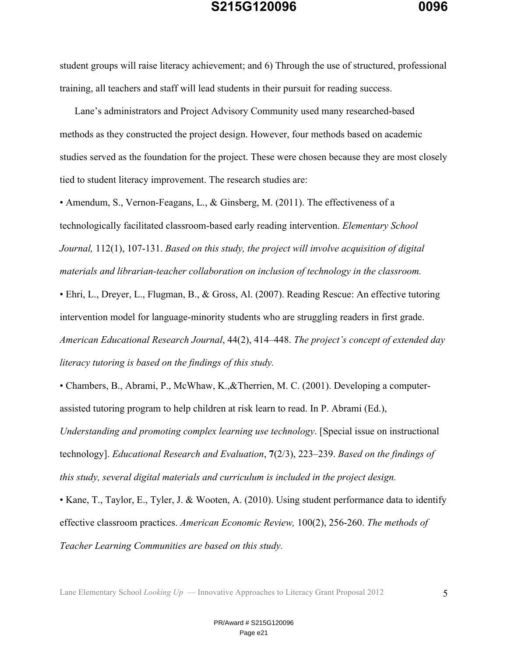student groups will raise literacy achievement; and 6) Through the use of structured, professional training, all teachers and staff will lead students in their pursuit for reading success.

Lane's administrators and Project Advisory Community used many researched-based methods as they constructed the project design. However, four methods based on academic studies served as the foundation for the project. These were chosen because they are most closely tied to student literacy improvement. The research studies are:

• Amendum, S., Vernon-Feagans, L., & Ginsberg, M. (2011). The effectiveness of a technologically facilitated classroom-based early reading intervention. *Elementary School Journal,* 112(1), 107-131. *Based on this study, the project will involve acquisition of digital materials and librarian-teacher collaboration on inclusion of technology in the classroom.*

• Ehri, L., Dreyer, L., Flugman, B., & Gross, Al. (2007). Reading Rescue: An effective tutoring intervention model for language-minority students who are struggling readers in first grade. *American Educational Research Journal*, 44(2), 414–448. *The project's concept of extended day literacy tutoring is based on the findings of this study.*

• Chambers, B., Abrami, P., McWhaw, K.,&Therrien, M. C. (2001). Developing a computerassisted tutoring program to help children at risk learn to read. In P. Abrami (Ed.),

*Understanding and promoting complex learning use technology*. [Special issue on instructional technology]. *Educational Research and Evaluation*, **7**(2/3), 223–239. *Based on the findings of this study, several digital materials and curriculum is included in the project design.*

• Kane, T., Taylor, E., Tyler, J. & Wooten, A. (2010). Using student performance data to identify effective classroom practices. *American Economic Review,* 100(2), 256-260. *The methods of Teacher Learning Communities are based on this study.*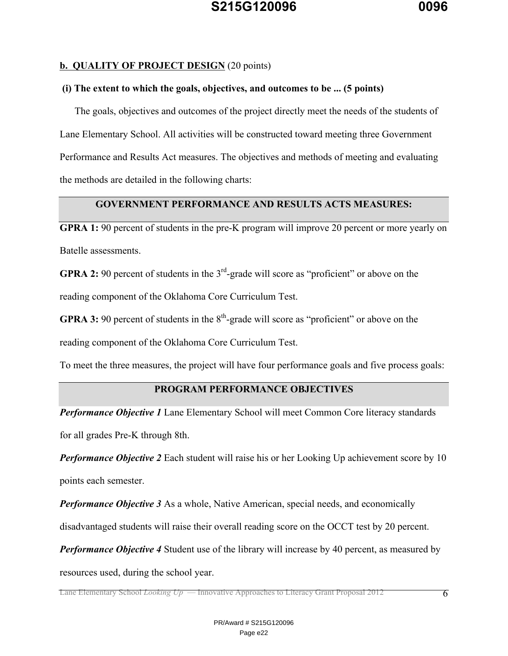### **b. QUALITY OF PROJECT DESIGN** (20 points)

### **(i) The extent to which the goals, objectives, and outcomes to be ... (5 points)**

The goals, objectives and outcomes of the project directly meet the needs of the students of Lane Elementary School. All activities will be constructed toward meeting three Government Performance and Results Act measures. The objectives and methods of meeting and evaluating the methods are detailed in the following charts:

### **GOVERNMENT PERFORMANCE AND RESULTS ACTS MEASURES:**

**GPRA 1:** 90 percent of students in the pre-K program will improve 20 percent or more yearly on Batelle assessments.

**GPRA 2:** 90 percent of students in the 3<sup>rd</sup>-grade will score as "proficient" or above on the reading component of the Oklahoma Core Curriculum Test.

**GPRA 3:** 90 percent of students in the  $8<sup>th</sup>$ -grade will score as "proficient" or above on the

reading component of the Oklahoma Core Curriculum Test.

To meet the three measures, the project will have four performance goals and five process goals:

### **PROGRAM PERFORMANCE OBJECTIVES**

*Performance Objective 1* Lane Elementary School will meet Common Core literacy standards for all grades Pre-K through 8th.

*Performance Objective 2* Each student will raise his or her Looking Up achievement score by 10

points each semester.

*Performance Objective 3* As a whole, Native American, special needs, and economically

disadvantaged students will raise their overall reading score on the OCCT test by 20 percent.

**Performance Objective 4** Student use of the library will increase by 40 percent, as measured by

resources used, during the school year.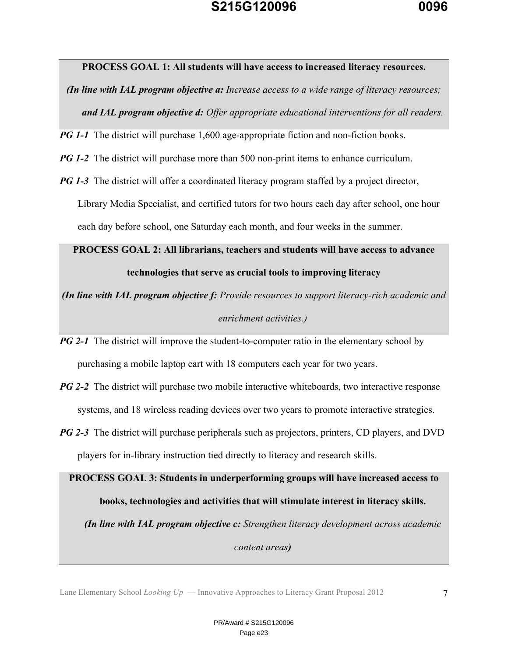

#### **PROCESS GOAL 1: All students will have access to increased literacy resources.**

*(In line with IAL program objective a: Increase access to a wide range of literacy resources; and IAL program objective d: Offer appropriate educational interventions for all readers.*

*PG 1-1* The district will purchase 1,600 age-appropriate fiction and non-fiction books.

*PG 1-2* The district will purchase more than 500 non-print items to enhance curriculum.

*PG 1-3* The district will offer a coordinated literacy program staffed by a project director, Library Media Specialist, and certified tutors for two hours each day after school, one hour each day before school, one Saturday each month, and four weeks in the summer.

# **PROCESS GOAL 2: All librarians, teachers and students will have access to advance technologies that serve as crucial tools to improving literacy**

*(In line with IAL program objective f: Provide resources to support literacy-rich academic and enrichment activities.)*

- *PG 2-1* The district will improve the student-to-computer ratio in the elementary school by purchasing a mobile laptop cart with 18 computers each year for two years.
- *PG 2-2* The district will purchase two mobile interactive whiteboards, two interactive response systems, and 18 wireless reading devices over two years to promote interactive strategies.
- *PG 2-3* The district will purchase peripherals such as projectors, printers, CD players, and DVD players for in-library instruction tied directly to literacy and research skills.

**PROCESS GOAL 3: Students in underperforming groups will have increased access to books, technologies and activities that will stimulate interest in literacy skills.** *(In line with IAL program objective c: Strengthen literacy development across academic* 

*content areas)*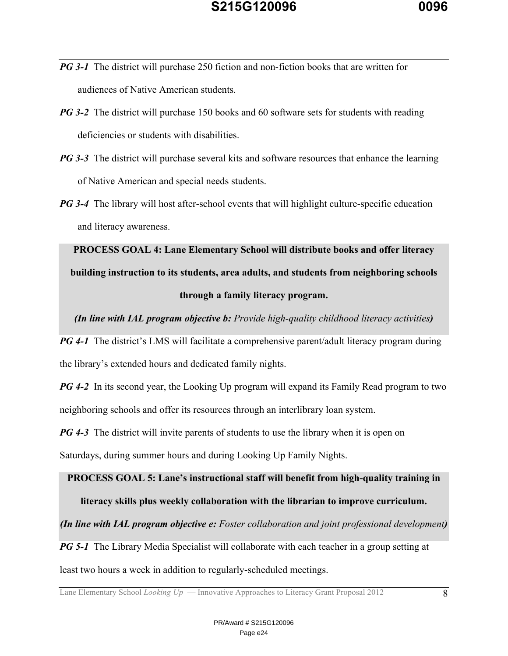- *PG* 3-1 The district will purchase 250 fiction and non-fiction books that are written for audiences of Native American students.
- *PG* **3-2** The district will purchase 150 books and 60 software sets for students with reading deficiencies or students with disabilities.
- *PG* 3-3 The district will purchase several kits and software resources that enhance the learning of Native American and special needs students.
- *PG 3-4* The library will host after-school events that will highlight culture-specific education and literacy awareness.

**PROCESS GOAL 4: Lane Elementary School will distribute books and offer literacy building instruction to its students, area adults, and students from neighboring schools through a family literacy program.**

*(In line with IAL program objective b: Provide high-quality childhood literacy activities)*

*PG 4-1* The district's LMS will facilitate a comprehensive parent/adult literacy program during the library's extended hours and dedicated family nights.

*PG 4-2* In its second year, the Looking Up program will expand its Family Read program to two neighboring schools and offer its resources through an interlibrary loan system.

*PG 4-3* The district will invite parents of students to use the library when it is open on

Saturdays, during summer hours and during Looking Up Family Nights.

# **PROCESS GOAL 5: Lane's instructional staff will benefit from high-quality training in literacy skills plus weekly collaboration with the librarian to improve curriculum.**

*(In line with IAL program objective e: Foster collaboration and joint professional development)*

*PG 5-1* The Library Media Specialist will collaborate with each teacher in a group setting at

least two hours a week in addition to regularly-scheduled meetings.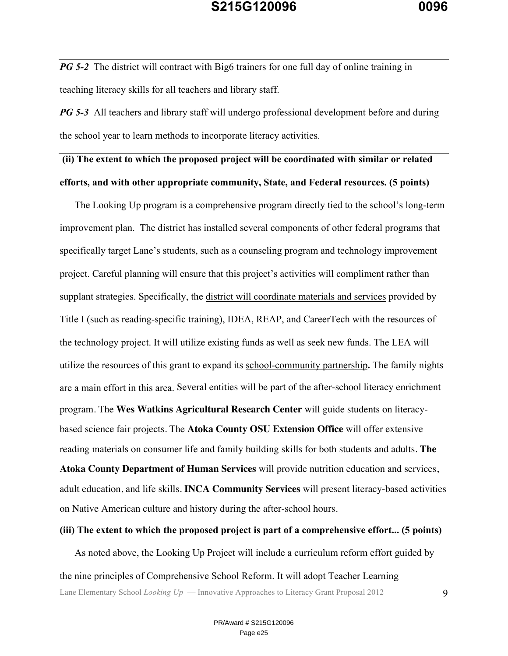*PG 5-2* The district will contract with Big6 trainers for one full day of online training in teaching literacy skills for all teachers and library staff.

*PG* 5-3 All teachers and library staff will undergo professional development before and during the school year to learn methods to incorporate literacy activities.

### **(ii) The extent to which the proposed project will be coordinated with similar or related**

### **efforts, and with other appropriate community, State, and Federal resources. (5 points)**

The Looking Up program is a comprehensive program directly tied to the school's long-term improvement plan. The district has installed several components of other federal programs that specifically target Lane's students, such as a counseling program and technology improvement project. Careful planning will ensure that this project's activities will compliment rather than supplant strategies. Specifically, the district will coordinate materials and services provided by Title I (such as reading-specific training), IDEA, REAP, and CareerTech with the resources of the technology project. It will utilize existing funds as well as seek new funds. The LEA will utilize the resources of this grant to expand its school-community partnership**.** The family nights are a main effort in this area. Several entities will be part of the after-school literacy enrichment program. The **Wes Watkins Agricultural Research Center** will guide students on literacybased science fair projects. The **Atoka County OSU Extension Office** will offer extensive reading materials on consumer life and family building skills for both students and adults. **The Atoka County Department of Human Services** will provide nutrition education and services,

adult education, and life skills. **INCA Community Services** will present literacy-based activities on Native American culture and history during the after-school hours.

### **(iii) The extent to which the proposed project is part of a comprehensive effort... (5 points)**

Lane Elementary School *Looking Up* — Innovative Approaches to Literacy Grant Proposal 2012 9 As noted above, the Looking Up Project will include a curriculum reform effort guided by the nine principles of Comprehensive School Reform. It will adopt Teacher Learning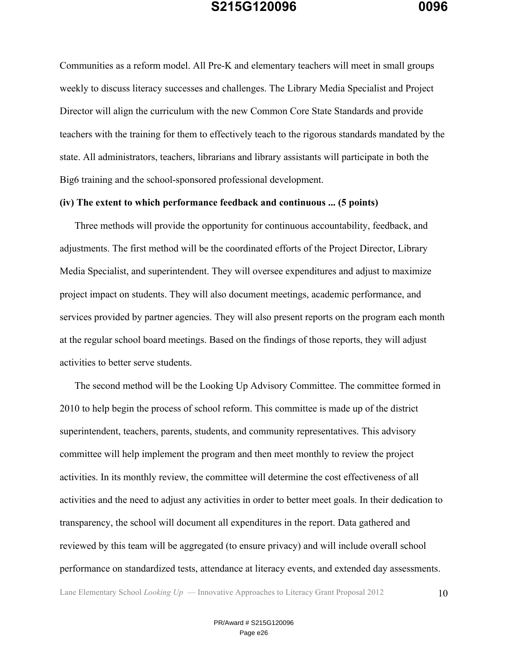Communities as a reform model. All Pre-K and elementary teachers will meet in small groups weekly to discuss literacy successes and challenges. The Library Media Specialist and Project Director will align the curriculum with the new Common Core State Standards and provide teachers with the training for them to effectively teach to the rigorous standards mandated by the state. All administrators, teachers, librarians and library assistants will participate in both the Big6 training and the school-sponsored professional development.

### **(iv) The extent to which performance feedback and continuous ... (5 points)**

Three methods will provide the opportunity for continuous accountability, feedback, and adjustments. The first method will be the coordinated efforts of the Project Director, Library Media Specialist, and superintendent. They will oversee expenditures and adjust to maximize project impact on students. They will also document meetings, academic performance, and services provided by partner agencies. They will also present reports on the program each month at the regular school board meetings. Based on the findings of those reports, they will adjust activities to better serve students.

The second method will be the Looking Up Advisory Committee. The committee formed in 2010 to help begin the process of school reform. This committee is made up of the district superintendent, teachers, parents, students, and community representatives. This advisory committee will help implement the program and then meet monthly to review the project activities. In its monthly review, the committee will determine the cost effectiveness of all activities and the need to adjust any activities in order to better meet goals. In their dedication to transparency, the school will document all expenditures in the report. Data gathered and reviewed by this team will be aggregated (to ensure privacy) and will include overall school performance on standardized tests, attendance at literacy events, and extended day assessments.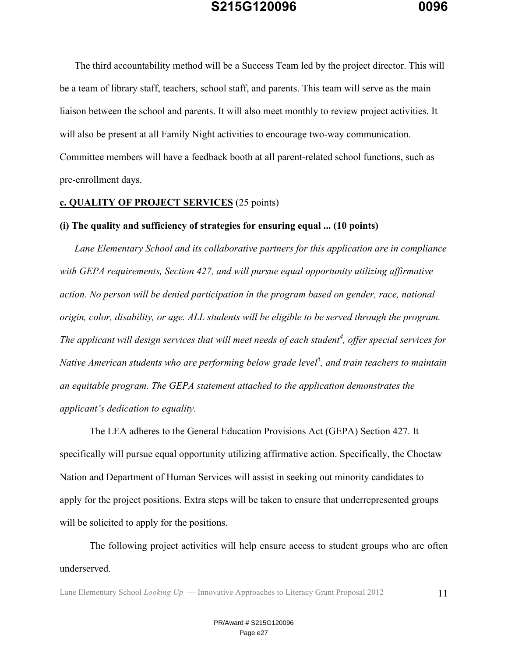The third accountability method will be a Success Team led by the project director. This will be a team of library staff, teachers, school staff, and parents. This team will serve as the main liaison between the school and parents. It will also meet monthly to review project activities. It will also be present at all Family Night activities to encourage two-way communication. Committee members will have a feedback booth at all parent-related school functions, such as pre-enrollment days.

#### **c. QUALITY OF PROJECT SERVICES** (25 points)

#### **(i) The quality and sufficiency of strategies for ensuring equal ... (10 points)**

*Lane Elementary School and its collaborative partners for this application are in compliance with GEPA requirements, Section 427, and will pursue equal opportunity utilizing affirmative action. No person will be denied participation in the program based on gender, race, national origin, color, disability, or age. ALL students will be eligible to be served through the program. The applicant will design services that will meet needs of each student<sup>4</sup> , offer special services for Native American students who are performing below grade level<sup>5</sup> , and train teachers to maintain an equitable program. The GEPA statement attached to the application demonstrates the applicant's dedication to equality.*

The LEA adheres to the General Education Provisions Act (GEPA) Section 427. It specifically will pursue equal opportunity utilizing affirmative action. Specifically, the Choctaw Nation and Department of Human Services will assist in seeking out minority candidates to apply for the project positions. Extra steps will be taken to ensure that underrepresented groups will be solicited to apply for the positions.

The following project activities will help ensure access to student groups who are often underserved.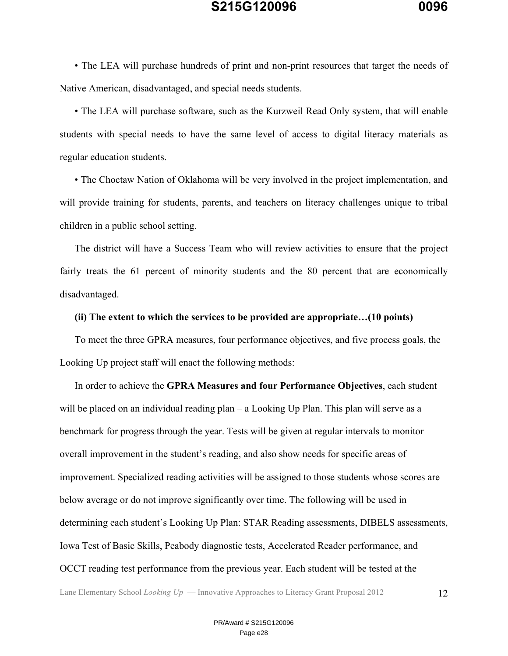• The LEA will purchase hundreds of print and non-print resources that target the needs of Native American, disadvantaged, and special needs students.

• The LEA will purchase software, such as the Kurzweil Read Only system, that will enable students with special needs to have the same level of access to digital literacy materials as regular education students.

• The Choctaw Nation of Oklahoma will be very involved in the project implementation, and will provide training for students, parents, and teachers on literacy challenges unique to tribal children in a public school setting.

The district will have a Success Team who will review activities to ensure that the project fairly treats the 61 percent of minority students and the 80 percent that are economically disadvantaged.

#### **(ii) The extent to which the services to be provided are appropriate…(10 points)**

To meet the three GPRA measures, four performance objectives, and five process goals, the Looking Up project staff will enact the following methods:

In order to achieve the **GPRA Measures and four Performance Objectives**, each student will be placed on an individual reading plan – a Looking Up Plan. This plan will serve as a benchmark for progress through the year. Tests will be given at regular intervals to monitor overall improvement in the student's reading, and also show needs for specific areas of improvement. Specialized reading activities will be assigned to those students whose scores are below average or do not improve significantly over time. The following will be used in determining each student's Looking Up Plan: STAR Reading assessments, DIBELS assessments, Iowa Test of Basic Skills, Peabody diagnostic tests, Accelerated Reader performance, and OCCT reading test performance from the previous year. Each student will be tested at the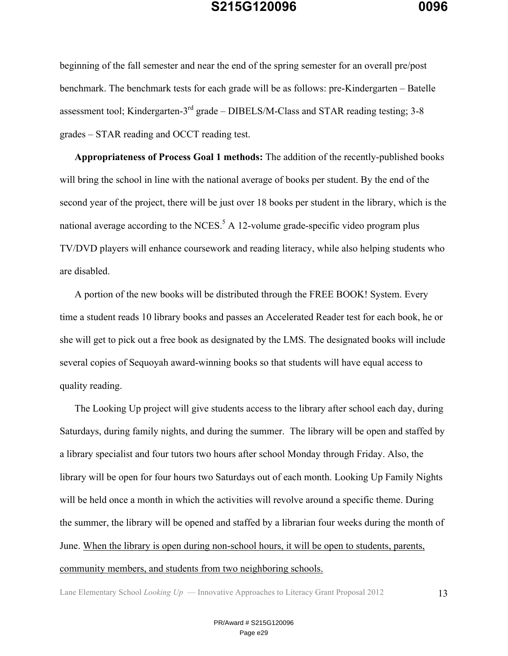beginning of the fall semester and near the end of the spring semester for an overall pre/post benchmark. The benchmark tests for each grade will be as follows: pre-Kindergarten – Batelle assessment tool; Kindergarten- $3<sup>rd</sup>$  grade – DIBELS/M-Class and STAR reading testing; 3-8 grades – STAR reading and OCCT reading test.

**Appropriateness of Process Goal 1 methods:** The addition of the recently-published books will bring the school in line with the national average of books per student. By the end of the second year of the project, there will be just over 18 books per student in the library, which is the national average according to the NCES.<sup>5</sup> A 12-volume grade-specific video program plus TV/DVD players will enhance coursework and reading literacy, while also helping students who are disabled.

A portion of the new books will be distributed through the FREE BOOK! System. Every time a student reads 10 library books and passes an Accelerated Reader test for each book, he or she will get to pick out a free book as designated by the LMS. The designated books will include several copies of Sequoyah award-winning books so that students will have equal access to quality reading.

The Looking Up project will give students access to the library after school each day, during Saturdays, during family nights, and during the summer. The library will be open and staffed by a library specialist and four tutors two hours after school Monday through Friday. Also, the library will be open for four hours two Saturdays out of each month. Looking Up Family Nights will be held once a month in which the activities will revolve around a specific theme. During the summer, the library will be opened and staffed by a librarian four weeks during the month of June. When the library is open during non-school hours, it will be open to students, parents, community members, and students from two neighboring schools.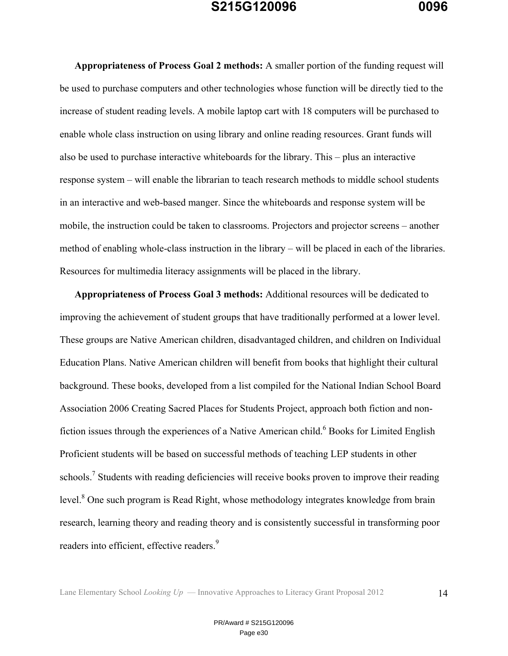**Appropriateness of Process Goal 2 methods:** A smaller portion of the funding request will be used to purchase computers and other technologies whose function will be directly tied to the increase of student reading levels. A mobile laptop cart with 18 computers will be purchased to enable whole class instruction on using library and online reading resources. Grant funds will also be used to purchase interactive whiteboards for the library. This – plus an interactive response system – will enable the librarian to teach research methods to middle school students in an interactive and web-based manger. Since the whiteboards and response system will be mobile, the instruction could be taken to classrooms. Projectors and projector screens – another method of enabling whole-class instruction in the library – will be placed in each of the libraries. Resources for multimedia literacy assignments will be placed in the library.

**Appropriateness of Process Goal 3 methods:** Additional resources will be dedicated to improving the achievement of student groups that have traditionally performed at a lower level. These groups are Native American children, disadvantaged children, and children on Individual Education Plans. Native American children will benefit from books that highlight their cultural background. These books, developed from a list compiled for the National Indian School Board Association 2006 Creating Sacred Places for Students Project, approach both fiction and nonfiction issues through the experiences of a Native American child.<sup>6</sup> Books for Limited English Proficient students will be based on successful methods of teaching LEP students in other schools.<sup>7</sup> Students with reading deficiencies will receive books proven to improve their reading level.<sup>8</sup> One such program is Read Right, whose methodology integrates knowledge from brain research, learning theory and reading theory and is consistently successful in transforming poor readers into efficient, effective readers.<sup>9</sup>

Lane Elementary School *Looking Up* — Innovative Approaches to Literacy Grant Proposal 2012 14

PR/Award # S215G120096 Page e30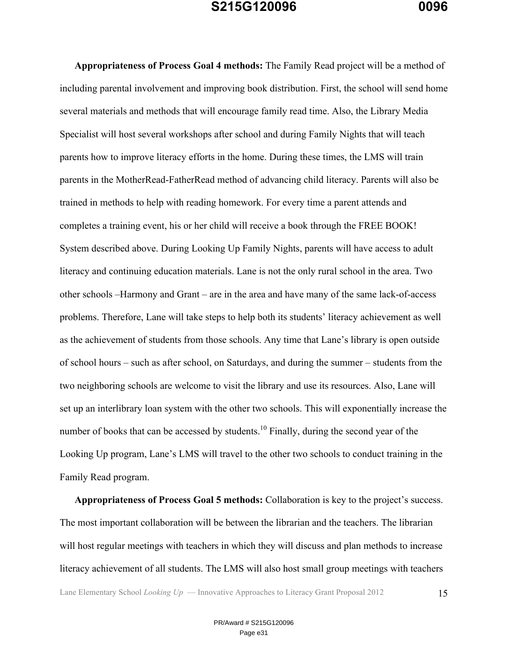**Appropriateness of Process Goal 4 methods:** The Family Read project will be a method of including parental involvement and improving book distribution. First, the school will send home several materials and methods that will encourage family read time. Also, the Library Media Specialist will host several workshops after school and during Family Nights that will teach parents how to improve literacy efforts in the home. During these times, the LMS will train parents in the MotherRead-FatherRead method of advancing child literacy. Parents will also be trained in methods to help with reading homework. For every time a parent attends and completes a training event, his or her child will receive a book through the FREE BOOK! System described above. During Looking Up Family Nights, parents will have access to adult literacy and continuing education materials. Lane is not the only rural school in the area. Two other schools –Harmony and Grant – are in the area and have many of the same lack-of-access problems. Therefore, Lane will take steps to help both its students' literacy achievement as well as the achievement of students from those schools. Any time that Lane's library is open outside of school hours – such as after school, on Saturdays, and during the summer – students from the two neighboring schools are welcome to visit the library and use its resources. Also, Lane will set up an interlibrary loan system with the other two schools. This will exponentially increase the number of books that can be accessed by students.<sup>10</sup> Finally, during the second year of the Looking Up program, Lane's LMS will travel to the other two schools to conduct training in the Family Read program.

**Appropriateness of Process Goal 5 methods:** Collaboration is key to the project's success. The most important collaboration will be between the librarian and the teachers. The librarian will host regular meetings with teachers in which they will discuss and plan methods to increase literacy achievement of all students. The LMS will also host small group meetings with teachers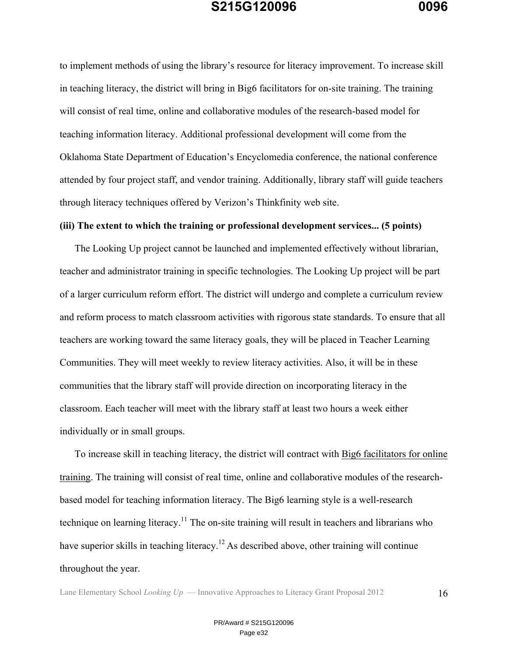to implement methods of using the library's resource for literacy improvement. To increase skill in teaching literacy, the district will bring in Big6 facilitators for on-site training. The training will consist of real time, online and collaborative modules of the research-based model for teaching information literacy. Additional professional development will come from the Oklahoma State Department of Education's Encyclomedia conference, the national conference attended by four project staff, and vendor training. Additionally, library staff will guide teachers through literacy techniques offered by Verizon's Thinkfinity web site.

#### **(iii) The extent to which the training or professional development services... (5 points)**

The Looking Up project cannot be launched and implemented effectively without librarian, teacher and administrator training in specific technologies. The Looking Up project will be part of a larger curriculum reform effort. The district will undergo and complete a curriculum review and reform process to match classroom activities with rigorous state standards. To ensure that all teachers are working toward the same literacy goals, they will be placed in Teacher Learning Communities. They will meet weekly to review literacy activities. Also, it will be in these communities that the library staff will provide direction on incorporating literacy in the classroom. Each teacher will meet with the library staff at least two hours a week either individually or in small groups.

To increase skill in teaching literacy, the district will contract with Big6 facilitators for online training. The training will consist of real time, online and collaborative modules of the researchbased model for teaching information literacy. The Big6 learning style is a well-research technique on learning literacy.<sup>11</sup> The on-site training will result in teachers and librarians who have superior skills in teaching literacy.<sup>12</sup> As described above, other training will continue throughout the year.

Lane Elementary School *Looking Up* — Innovative Approaches to Literacy Grant Proposal 2012 16

PR/Award # S215G120096 Page e32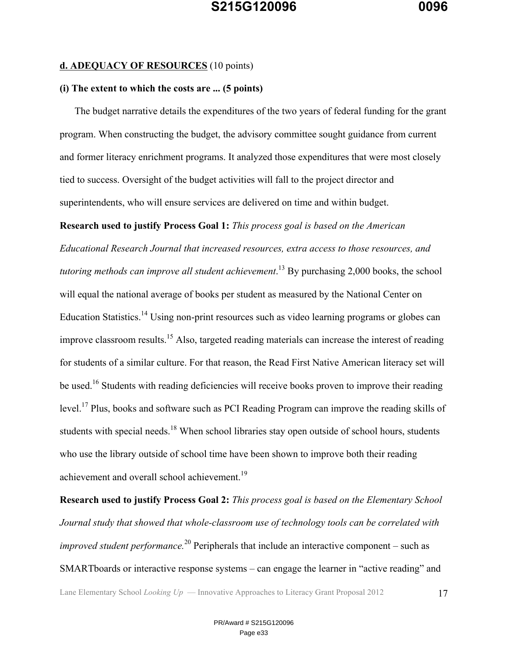#### **d. ADEQUACY OF RESOURCES** (10 points)

### **(i) The extent to which the costs are ... (5 points)**

The budget narrative details the expenditures of the two years of federal funding for the grant program. When constructing the budget, the advisory committee sought guidance from current and former literacy enrichment programs. It analyzed those expenditures that were most closely tied to success. Oversight of the budget activities will fall to the project director and superintendents, who will ensure services are delivered on time and within budget.

**Research used to justify Process Goal 1:** *This process goal is based on the American Educational Research Journal that increased resources, extra access to those resources, and tutoring methods can improve all student achievement*. <sup>13</sup> By purchasing 2,000 books, the school will equal the national average of books per student as measured by the National Center on Education Statistics.<sup>14</sup> Using non-print resources such as video learning programs or globes can improve classroom results.<sup>15</sup> Also, targeted reading materials can increase the interest of reading for students of a similar culture. For that reason, the Read First Native American literacy set will be used.<sup>16</sup> Students with reading deficiencies will receive books proven to improve their reading level.<sup>17</sup> Plus, books and software such as PCI Reading Program can improve the reading skills of students with special needs.<sup>18</sup> When school libraries stay open outside of school hours, students who use the library outside of school time have been shown to improve both their reading achievement and overall school achievement.<sup>19</sup>

**Research used to justify Process Goal 2:** *This process goal is based on the Elementary School Journal study that showed that whole-classroom use of technology tools can be correlated with improved student performance*.<sup>20</sup> Peripherals that include an interactive component – such as SMARTboards or interactive response systems – can engage the learner in "active reading" and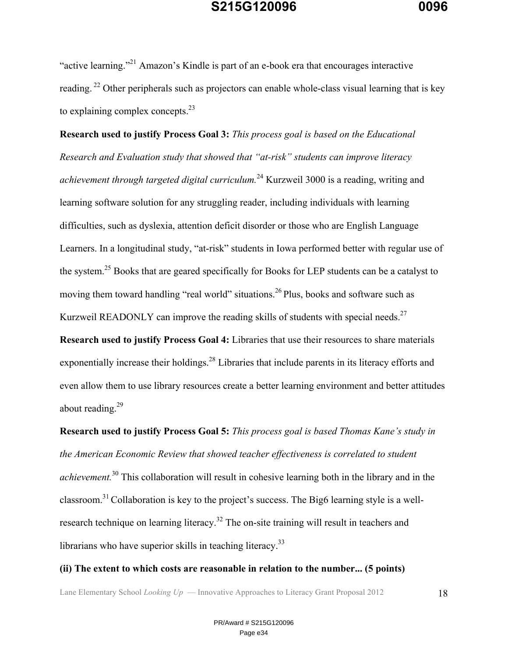"active learning."<sup>21</sup> Amazon's Kindle is part of an e-book era that encourages interactive reading.<sup>22</sup> Other peripherals such as projectors can enable whole-class visual learning that is key to explaining complex concepts.<sup>23</sup>

**Research used to justify Process Goal 3:** *This process goal is based on the Educational Research and Evaluation study that showed that "at-risk" students can improve literacy achievement through targeted digital curriculum.*<sup>24</sup> Kurzweil 3000 is a reading, writing and learning software solution for any struggling reader, including individuals with learning difficulties, such as dyslexia, attention deficit disorder or those who are English Language Learners. In a longitudinal study, "at-risk" students in Iowa performed better with regular use of the system.<sup>25</sup> Books that are geared specifically for Books for LEP students can be a catalyst to moving them toward handling "real world" situations.<sup>26</sup> Plus, books and software such as Kurzweil READONLY can improve the reading skills of students with special needs.<sup>27</sup>

**Research used to justify Process Goal 4:** Libraries that use their resources to share materials exponentially increase their holdings.<sup>28</sup> Libraries that include parents in its literacy efforts and even allow them to use library resources create a better learning environment and better attitudes about reading.<sup>29</sup>

**Research used to justify Process Goal 5:** *This process goal is based Thomas Kane's study in the American Economic Review that showed teacher effectiveness is correlated to student achievement.*<sup>30</sup> This collaboration will result in cohesive learning both in the library and in the classroom.<sup>31</sup> Collaboration is key to the project's success. The Big6 learning style is a wellresearch technique on learning literacy.<sup>32</sup> The on-site training will result in teachers and librarians who have superior skills in teaching literacy.<sup>33</sup>

#### **(ii) The extent to which costs are reasonable in relation to the number... (5 points)**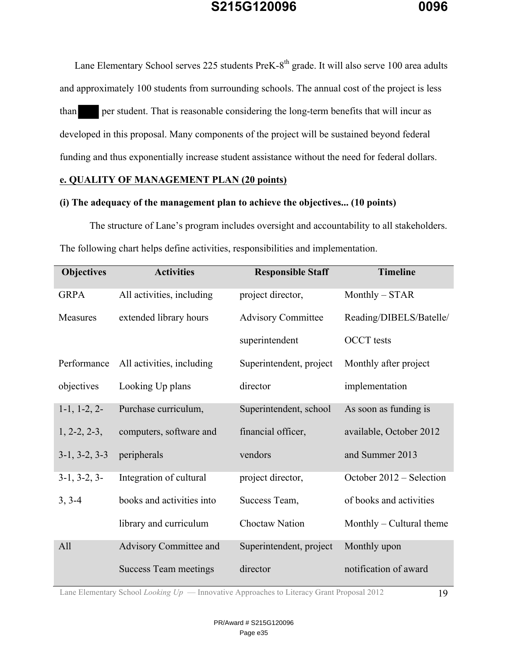

Lane Elementary School serves 225 students PreK-8<sup>th</sup> grade. It will also serve 100 area adults and approximately 100 students from surrounding schools. The annual cost of the project is less than per student. That is reasonable considering the long-term benefits that will incur as developed in this proposal. Many components of the project will be sustained beyond federal funding and thus exponentially increase student assistance without the need for federal dollars.

### **e. QUALITY OF MANAGEMENT PLAN (20 points)**

### **(i) The adequacy of the management plan to achieve the objectives... (10 points)**

The structure of Lane's program includes oversight and accountability to all stakeholders. The following chart helps define activities, responsibilities and implementation.

| <b>Objectives</b> | <b>Activities</b>         | <b>Responsible Staff</b>  | <b>Timeline</b>            |
|-------------------|---------------------------|---------------------------|----------------------------|
| <b>GRPA</b>       | All activities, including | project director,         | $Monthly - STAR$           |
| Measures          | extended library hours    | <b>Advisory Committee</b> | Reading/DIBELS/Batelle/    |
|                   |                           | superintendent            | <b>OCCT</b> tests          |
| Performance       | All activities, including | Superintendent, project   | Monthly after project      |
| objectives        | Looking Up plans          | director                  | implementation             |
| $1-1, 1-2, 2-$    | Purchase curriculum,      | Superintendent, school    | As soon as funding is      |
| $1, 2-2, 2-3,$    | computers, software and   | financial officer,        | available, October 2012    |
| $3-1, 3-2, 3-3$   | peripherals               | vendors                   | and Summer 2013            |
| $3-1, 3-2, 3-$    | Integration of cultural   | project director,         | October 2012 – Selection   |
| $3, 3-4$          | books and activities into | Success Team,             | of books and activities    |
|                   | library and curriculum    | Choctaw Nation            | Monthly $-$ Cultural theme |
| All               | Advisory Committee and    | Superintendent, project   | Monthly upon               |
|                   | Success Team meetings     | director                  | notification of award      |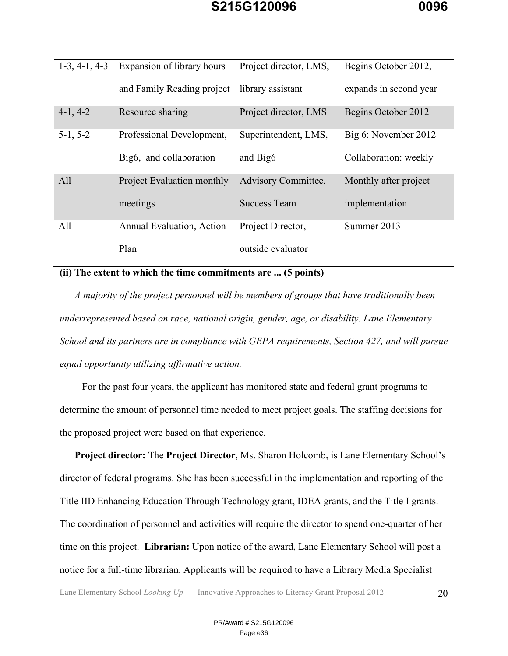| $1-3, 4-1, 4-3$ | Expansion of library hours        | Project director, LMS,     | Begins October 2012,   |
|-----------------|-----------------------------------|----------------------------|------------------------|
|                 | and Family Reading project        | library assistant          | expands in second year |
| $4-1, 4-2$      | Resource sharing                  | Project director, LMS      | Begins October 2012    |
| $5-1, 5-2$      | Professional Development,         | Superintendent, LMS,       | Big 6: November 2012   |
|                 | Big6, and collaboration           | and Big <sub>6</sub>       | Collaboration: weekly  |
| All             | <b>Project Evaluation monthly</b> | <b>Advisory Committee,</b> | Monthly after project  |
|                 | meetings                          | <b>Success Team</b>        | implementation         |
| All             | <b>Annual Evaluation, Action</b>  | Project Director,          | Summer 2013            |
|                 | Plan                              | outside evaluator          |                        |

### **(ii) The extent to which the time commitments are ... (5 points)**

*A majority of the project personnel will be members of groups that have traditionally been underrepresented based on race, national origin, gender, age, or disability. Lane Elementary School and its partners are in compliance with GEPA requirements, Section 427, and will pursue equal opportunity utilizing affirmative action.* 

For the past four years, the applicant has monitored state and federal grant programs to determine the amount of personnel time needed to meet project goals. The staffing decisions for the proposed project were based on that experience.

**Project director:** The **Project Director**, Ms. Sharon Holcomb, is Lane Elementary School's director of federal programs. She has been successful in the implementation and reporting of the Title IID Enhancing Education Through Technology grant, IDEA grants, and the Title I grants. The coordination of personnel and activities will require the director to spend one-quarter of her time on this project. **Librarian:** Upon notice of the award, Lane Elementary School will post a notice for a full-time librarian. Applicants will be required to have a Library Media Specialist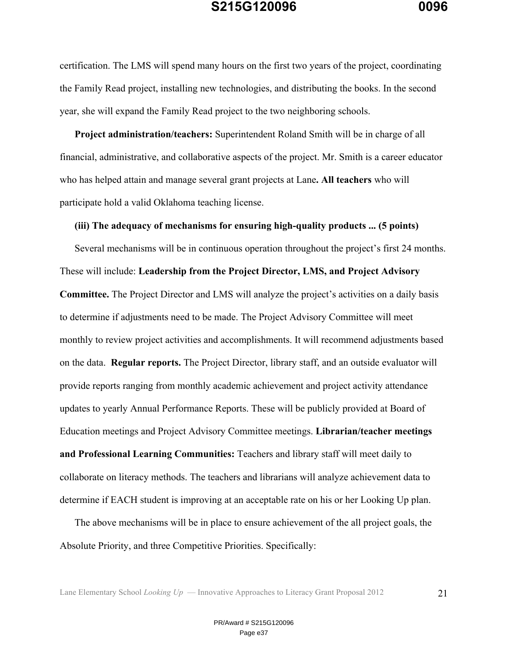certification. The LMS will spend many hours on the first two years of the project, coordinating the Family Read project, installing new technologies, and distributing the books. In the second year, she will expand the Family Read project to the two neighboring schools.

**Project administration/teachers:** Superintendent Roland Smith will be in charge of all financial, administrative, and collaborative aspects of the project. Mr. Smith is a career educator who has helped attain and manage several grant projects at Lane**. All teachers** who will participate hold a valid Oklahoma teaching license.

#### **(iii) The adequacy of mechanisms for ensuring high-quality products ... (5 points)**

Several mechanisms will be in continuous operation throughout the project's first 24 months. These will include: **Leadership from the Project Director, LMS, and Project Advisory Committee.** The Project Director and LMS will analyze the project's activities on a daily basis to determine if adjustments need to be made. The Project Advisory Committee will meet monthly to review project activities and accomplishments. It will recommend adjustments based on the data. **Regular reports.** The Project Director, library staff, and an outside evaluator will provide reports ranging from monthly academic achievement and project activity attendance updates to yearly Annual Performance Reports. These will be publicly provided at Board of Education meetings and Project Advisory Committee meetings. **Librarian/teacher meetings and Professional Learning Communities:** Teachers and library staff will meet daily to collaborate on literacy methods. The teachers and librarians will analyze achievement data to determine if EACH student is improving at an acceptable rate on his or her Looking Up plan.

The above mechanisms will be in place to ensure achievement of the all project goals, the Absolute Priority, and three Competitive Priorities. Specifically: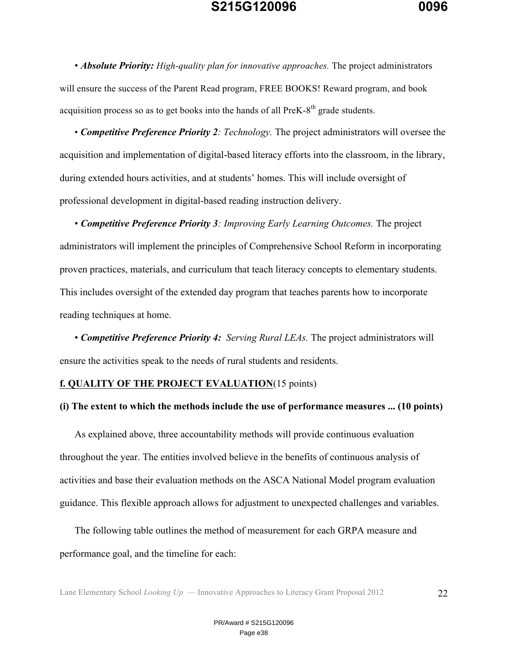• *Absolute Priority: High-quality plan for innovative approaches.* The project administrators will ensure the success of the Parent Read program, FREE BOOKS! Reward program, and book acquisition process so as to get books into the hands of all PreK- $8<sup>th</sup>$  grade students.

• *Competitive Preference Priority 2: Technology.* The project administrators will oversee the acquisition and implementation of digital-based literacy efforts into the classroom, in the library, during extended hours activities, and at students' homes. This will include oversight of professional development in digital-based reading instruction delivery.

• *Competitive Preference Priority 3: Improving Early Learning Outcomes.* The project administrators will implement the principles of Comprehensive School Reform in incorporating proven practices, materials, and curriculum that teach literacy concepts to elementary students. This includes oversight of the extended day program that teaches parents how to incorporate reading techniques at home.

• *Competitive Preference Priority 4: Serving Rural LEAs.* The project administrators will ensure the activities speak to the needs of rural students and residents.

### **f. QUALITY OF THE PROJECT EVALUATION**(15 points)

### **(i) The extent to which the methods include the use of performance measures ... (10 points)**

As explained above, three accountability methods will provide continuous evaluation throughout the year. The entities involved believe in the benefits of continuous analysis of activities and base their evaluation methods on the ASCA National Model program evaluation guidance. This flexible approach allows for adjustment to unexpected challenges and variables.

The following table outlines the method of measurement for each GRPA measure and performance goal, and the timeline for each: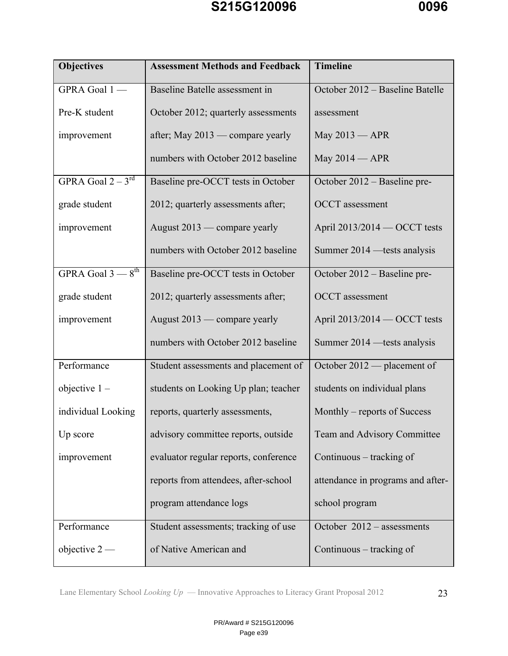

| <b>Objectives</b>             | <b>Assessment Methods and Feedback</b> | <b>Timeline</b>                   |
|-------------------------------|----------------------------------------|-----------------------------------|
| GPRA Goal 1-                  | Baseline Batelle assessment in         | October 2012 - Baseline Batelle   |
| Pre-K student                 | October 2012; quarterly assessments    | assessment                        |
| improvement                   | after; May 2013 — compare yearly       | May 2013 - APR                    |
|                               | numbers with October 2012 baseline     | May 2014 - APR                    |
| GPRA Goal $2-3^{rd}$          | Baseline pre-OCCT tests in October     | October 2012 – Baseline pre-      |
| grade student                 | 2012; quarterly assessments after;     | <b>OCCT</b> assessment            |
| improvement                   | August 2013 — compare yearly           | April 2013/2014 - OCCT tests      |
|                               | numbers with October 2012 baseline     | Summer 2014 — tests analysis      |
| GPRA Goal $3-8$ <sup>th</sup> | Baseline pre-OCCT tests in October     | October 2012 – Baseline pre-      |
| grade student                 | 2012; quarterly assessments after;     | <b>OCCT</b> assessment            |
| improvement                   | August 2013 — compare yearly           | April 2013/2014 - OCCT tests      |
|                               | numbers with October 2012 baseline     | Summer 2014 - tests analysis      |
| Performance                   | Student assessments and placement of   | October 2012 — placement of       |
| objective $1 -$               | students on Looking Up plan; teacher   | students on individual plans      |
| individual Looking            | reports, quarterly assessments,        | Monthly – reports of Success      |
| Up score                      | advisory committee reports, outside    | Team and Advisory Committee       |
| improvement                   | evaluator regular reports, conference  | Continuous – tracking of          |
|                               | reports from attendees, after-school   | attendance in programs and after- |
|                               | program attendance logs                | school program                    |
| Performance                   | Student assessments; tracking of use   | October 2012 - assessments        |
| objective $2-$                | of Native American and                 | Continuous – tracking of          |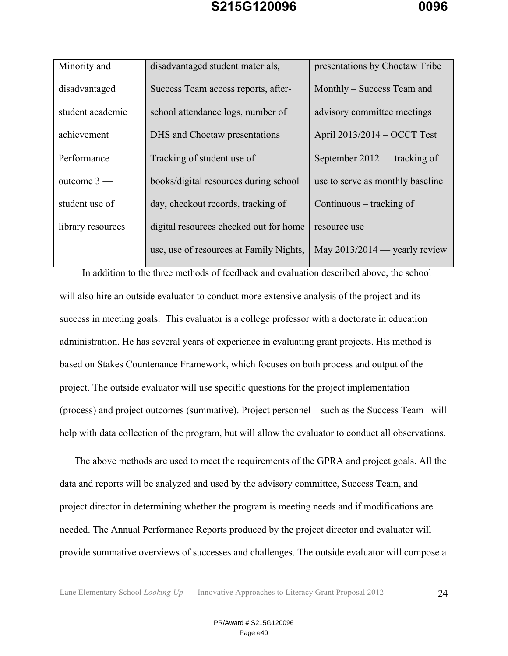| Minority and      | disadvantaged student materials,        | presentations by Choctaw Tribe   |  |  |  |
|-------------------|-----------------------------------------|----------------------------------|--|--|--|
| disadvantaged     | Success Team access reports, after-     | Monthly – Success Team and       |  |  |  |
| student academic  | school attendance logs, number of       | advisory committee meetings      |  |  |  |
| achievement       | DHS and Choctaw presentations           | April 2013/2014 – OCCT Test      |  |  |  |
| Performance       | Tracking of student use of              | September 2012 — tracking of     |  |  |  |
| outcome $3-$      | books/digital resources during school   | use to serve as monthly baseline |  |  |  |
| student use of    | day, checkout records, tracking of      | Continuous – tracking of         |  |  |  |
| library resources | digital resources checked out for home  | resource use                     |  |  |  |
|                   | use, use of resources at Family Nights, | May $2013/2014$ — yearly review  |  |  |  |

In addition to the three methods of feedback and evaluation described above, the school will also hire an outside evaluator to conduct more extensive analysis of the project and its success in meeting goals. This evaluator is a college professor with a doctorate in education administration. He has several years of experience in evaluating grant projects. His method is based on Stakes Countenance Framework, which focuses on both process and output of the project. The outside evaluator will use specific questions for the project implementation (process) and project outcomes (summative). Project personnel – such as the Success Team– will help with data collection of the program, but will allow the evaluator to conduct all observations.

The above methods are used to meet the requirements of the GPRA and project goals. All the data and reports will be analyzed and used by the advisory committee, Success Team, and project director in determining whether the program is meeting needs and if modifications are needed. The Annual Performance Reports produced by the project director and evaluator will provide summative overviews of successes and challenges. The outside evaluator will compose a